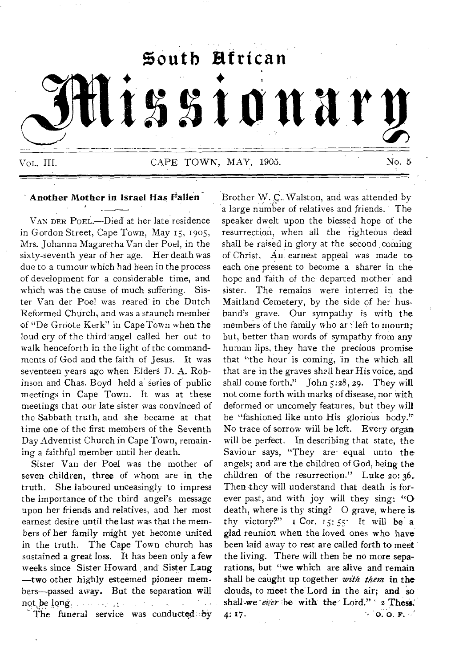# **\$outb Rfrican • • tssIonary**  Vol. III. CAPE TOWN, MAY, 1905. No. 5

#### **Another Mother in Israel Has Fallen**

VAN DER POEL.-Died at her late residence in Gordon Street, Cape Town, May 15, 1905, Mrs. Johanna Magaretha Van der Poel, in the sixty-seventh year of her age. Her death was due to a tumour which had been in the process of development for a considerable time, and which was the cause of much suffering. Sister Van der Poel was reared in the Dutch Reformed Church, and was a staunch member of "De Groote Kerk" in Cape Town when the loud cry of the third angel called her out to walk henceforth in the light of the commandments of God and the faith of Jesus. It was seventeen years ago when Elders D. A. Robinson and Chas. Boyd held a' series of public meetings in Cape Town. It was at these meetings that our late sister was convinced of the Sabbath truth, and she became at that time one of the first members of the Seventh Day Adventist Church in Cape Town, remaining a faithful member until her death.

Sister Van der Poel was the mother of seven children, three of whom are in the truth. She laboured unceasingly to impress the importance of the third angel's message upon her friends and relatives, and her most earnest desire until the last was that the members of her family might yet become united in the truth. The Cape Town church has sustained a great loss. It has been only a **few**  weeks since Sister Howard and Sister Lang —two other highly esteemed pioneer members—passed away. But the separation will not, be long.  $\ldots$   $\ldots$   $\ldots$  -  $\ldots$  -  $\ldots$ 

The funeral service was conducted by

Brother W. C.. Walston, and was attended by a large number of relatives and friends. The speaker dwelt upon the blessed hope of the resurrection, when all the righteous dead shall be raised in glory at the second coming of Christ. An earnest appeal was made to each one present to become a sharer in the hope and 'faith of the departed mother and sister. The remains were interred in the Maitland Cemetery, by the side of her husband's grave. Our sympathy is with the members of the family who are left to mourn; but, better than words of sympathy from any human lips, they have the precious promise that "the hour is coming, in the which all that are in the graves shall hear His voice, and shall come forth." John 5:28, 29. They will not come forth with marks of disease, nor with deformed or uncomely features, but they will be "fashioned like unto His glorious body." No trace of sorrow will be left. Every organ will be perfect. In describing that state, the Saviour says, "They are equal unto the angels; and are the children of God, being the children of the resurrection." Luke 20: 36. Then they will understand that death is forever past, and with joy will they sing: "O death, where is thy sting? O grave, where is thy victory?" I Cor.  $15:55$ . It will be a glad reunion when the loved ones who have been laid away to rest are called forth to meet the living. There will then be no more separations, but "we which are alive and remain shall be caught up together *with them* in the clouds, to meet the Lord in the air; and so shall-we ever *:be* **with the-** Lord." ' 2 **Thess..**   $\sim$  0.0. F. **4: 17.**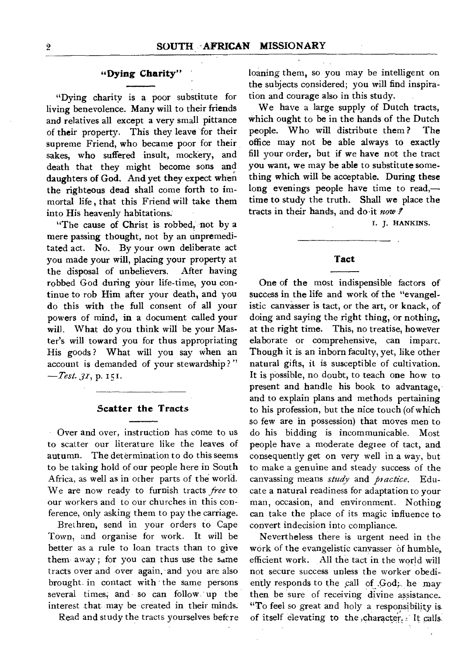#### **"Dying Charity"**

"Dying charity is a poor substitute for living benevolence. Many will to their friends and relatives all except a very small pittance of their property. This they leave for their supreme Friend, who became poor for their sakes, who suffered insult, mockery, and death that they might become sons and daughters **of God.** And yet they expect when the righteous dead shall come forth to immortal life , that this Friend will take them into His heavenly habitations.

"The cause of Christ is robbed, not by a mere passing thought, not by an unpremeditated act. No. By your own deliberate act you made your will, placing your property at<br>the disposal of unbelievers. After having the disposal of unbelievers. robbed God during your life-time, you continue to rob Him after your death, and you do this with the full consent of all your powers of mind, in a document called your will. What do you think will be your Master's will toward you for thus appropriating His goods ? What will you say when an account is demanded of your stewardship ? "  $-Test. 31, p. 151.$ 

#### **Scatter the Tracts**

Over and over, instruction has come to us to scatter our literature like the leaves of autumn. The determination to do this seems to be taking hold of our people here in South Africa, as well as in other parts of the world. We are now ready to furnish tracts *free* to our workers and to our churches in this conference, only asking them to pay the carriage.

Brethren, send in your orders to Cape Town, and organise for work. It will be better as a rule to loan tracts than to give them- away ; for you can thus use the same tracts over and over again, and you are also brought in contact with the same persons several times, and so can follow up the interest that may be created in their minds.

Read and study the tracts yourselves befcre

loaning them, so you may be intelligent on the subjects considered; you will find inspiration and courage also in this study.

We have a large supply of Dutch tracts, which ought to be in the hands of the Dutch people. Who will distribute them ? The office may not be able always to exactly fill your order, but if we have not the tract you want, we may be able to substitute something which will be acceptable. During these long evenings people have time to read, time to study the truth. Shall we place the tracts in their hands, and doit *now* 

I. *J.* HANKINS.

#### **Tact**

One of the most indispensible factors of success in the life and work of the "evangelistic canvasser is tact, or the art, or knack, of doing and saying the right thing, or nothing, at the right time. This, no treatise, however elaborate or comprehensive, can impart. Though it is an inborn faculty, yet, like other natural gifts, it is susceptible of cultivation. It is possible, no doubt, to teach one how to present and handle his book to advantage, and to explain plans and methods pertaining to his profession, but the nice touch (of which so few are in possession) that moves men to do his bidding is incommunicable. Most people have a moderate degiee of tact, and consequently get on very well in a way, but to make a genuine and steady success of the canvassing means *study* and *practice.* Educate a natural readiness for adaptation to your man, occasion, and environment. Nothing can take the place of its magic influence to convert indecision into compliance.

Nevertheless there is urgent need in the work of the evangelistic canvasser of humble, efficient work. All the tact in the world will not secure success unless the worker obediently responds to the call of .God;. he may then be sure of receiving divine assistance. "To feel so great and holy a responsibility is. of itself elevating to the ,character. - It calls.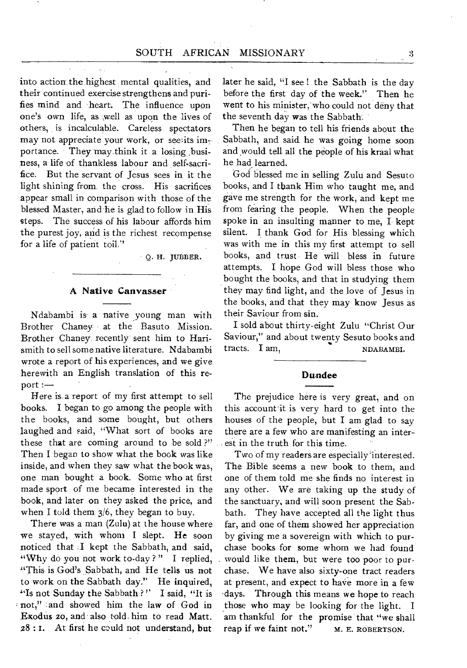into action the, highest mental qualities, and their continued exercise strengthens and purifies mind and heart. The influence upon one's own life, as well as upon the lives of others, is incalculable. Careless- spectators may not appreciate your work, or seeits importance. They may think it a losing ,business, a life of thankless labour and self-sacrifice. But the servant of Jesus sees in it the light shining from\_ the cross. His sacrifices appear small in comparison with those of the blessed Master, and he is glad to follow in His steps. The success of his labour affords him the purest joy, and is the richest recompense for a life of patient toil."

9. H. JUBBER.

#### **A Native Canvasser**

Ndabambi is- a native young man with Brother Chaney at the Basuto Mission. Brother Chaney recently sent him to Harismith to sell some native literature. Ndabambi wrote a report of his experiences, and we give herewith an English translation of this report :—

Here is a report of my first attempt to sell books. I began to go among the people with the books, and some bought, but others laughed and said, "What sort of books are these that are coming around to be sold ?" Then I began to show what the book was like inside, and when they saw what the book was, one man bought a book. Some who at first made sport of me became interested in the book, and later on they asked the price, and when I told them  $3/6$ , they began to buy.

There was a man (Zulu) at the house where we stayed, with whom I slept. He soon noticed that .1 kept the Sabbath, and said, "Why do you not work to-day?" I replied, "This is God's Sabbath, and He tells us not to work on the Sabbath day." He inquired, "Is not Sunday the Sabbath?" I said, "It is • not," and showed him the law of God in Exodus 20, and' also told- him to read Matt.  $28:1$ . At first he could not understand, but

later he said, "I see I the Sabbath is the day before the first day of the week." Then he went to his minister, who could not deny that the seventh day was the Sabbath.

Then he began to tell his friends about the Sabbath, and said he was going home soon and would tell all the people of his kraal what he had learned.

God blessed me in selling Zulu and Sesuto books, and I thank Him who taught me, and gave me strength for the work, and kept me from fearing the people. When the people spoke in an insulting manner to me,  $\overline{1}$ - kept silent. I thank God for His blessing which was with me in this my first attempt to sell books, and trust He will bless in future attempts. I hope God will bless those who bought the books, and that in studying them they may find light, and the love of Jesus in the books, and that they may know Jesus as their Saviour from sin.

I sold about thirty-eight Zulu "Christ Our Saviour," and about twenty Sesuto books and tracts. I am, NDABAMBI.

#### **Dundee**

The prejudice here is very great, and on this account it is very hard to get into the houses of the people, but I am glad to say there are a few who are manifesting an interest in the truth for this time.

Two of my readers are especially interested. The Bible seems a new book to them, and one of them told me she finds no interest in any other. We are taking up the study of the sanctuary, and will soon present the Sabbath. They have accepted all the light thus far, and one of them showed her appreciation by giving me a sovereign with which to purchase books for some whom we had found . would like them, but were too poor to purchase. We have also sixty-one tract readers at present, and expect to have more in a few -days. Through this means we hope to reach those who may be looking for the light. I am thankful for the promise that "we shall reap if we faint not."  $M. E. ROBERTSON.$ reap if we faint not."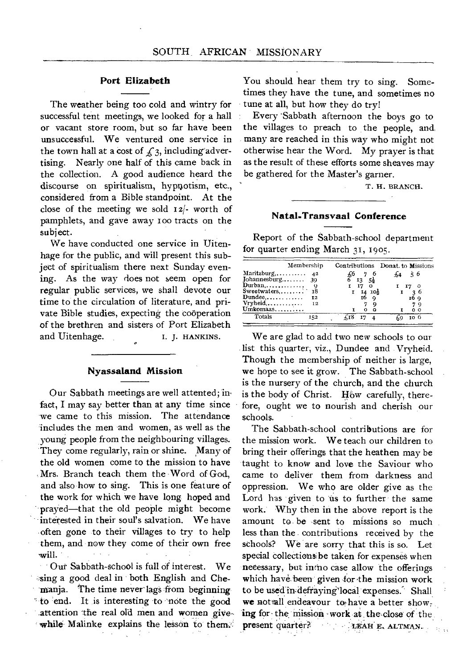#### **Port Elizabeth**

The weather being too cold and wintry for successful tent meetings, we looked for a hall or vacant store room, but so far have been unsuccessful. We ventured one service in the town hall at a cost of  $f_3$ , including advertising. Nearly one half of this came back in the collection. A good audience heard the discourse on spiritualism, hypnotism, etc., considered from a Bible standpoint. At the close of the meeting we sold 12/- worth of pamphlets, and gave away ioo tracts on the subject.

We have conducted one service in Uitenhage for the public, and will present this subject of spiritualism there next Sunday evening. As the way does not seem open for regular public services, we shall devote our time to the circulation of literature, and private Bible studies, expecting the cooperation of the brethren and sisters of Port Elizabeth and Uitenhage. I. J. HANKINS.

#### **Nyassaland Mission**

Our Sabbath meetings are well attented; im fact, I may say better than at any time since we came to this mission. The attendance includes the men and women, as well as the young people from the neighbouring villages. They come regularly, rain or shine. Many of the old women come to the mission to have Mrs. Branch teach them the Word of God, and also how to sing. This is one feature of the work for which we have long hoped and prayed—that the old people might become interested in their soul's salvation. We have often gone to their villages to try to help them, and now they come of their own free will.

Our Sabbath-school is full of interest. We sing a good deal in both English and Chemanja. The time never lags from beginning to end. It is interesting to 'note the good attention the real old men and women givewhile Malinke explains the lesson to them. You should hear them try to sing. Sometimes they have the tune, and sometimes no tune at all, but how they do try!

Every Sabbath afternoon the boys go to the villages to preach to the people, and many are reached in this way who might not otherwise hear the Word. My prayer is that as the result of these efforts some sheaves may be gathered for the Master's garner.

T. H. BRANCH.

#### **Natal-Transvaal Conference**

Report of the Sabbath-school department for quarter ending March 31, 1905.

| Membership     |                                                                                             | Contributions Donat. to Missions |
|----------------|---------------------------------------------------------------------------------------------|----------------------------------|
| Maritzburg, 42 |                                                                                             | š 6                              |
| - 9            |                                                                                             |                                  |
| 78             | 10ł                                                                                         | -26<br>16 Q                      |
| Vryheid,<br>12 |                                                                                             | 7 O                              |
|                |                                                                                             | n                                |
|                | $Iohannesburg$ 39<br>$\sum_{i=1}^{n}$<br>Sweetwaters<br>$D$ undee,<br>12<br>Umkomaas<br>152 | $5\frac{1}{2}$<br>13             |

We are glad to add two new schools to our list this quarter; viz., Dundee and Vryheid. Though the membership of neither is large, we hope to see it grow. The Sabbath-school is the nursery of the church, and the church is the body of Christ. How carefully, therefore, ought we to nourish and cherish our schools.

The Sabbath-school contributions are for the mission work. We teach our children to bring their offerings that the heathen may be taught to know and love the Saviour who came to deliver them from darkness and oppression. We who are older give as the Lord has given to us to further the same work: Why then in the above report is the amount to be -sent to missions so much less than the contributions received by the schools? We are sorry that this is so. Let special collections be taken for expenses when necessary, but intno case allow the offerings which have been given for the mission work to be used in defraying local expenses. Shall we not all endeavour to have a better show, ing for the mission work at the close of the. present quarter?, \_ \_ 3 nAH E. ALTMAN.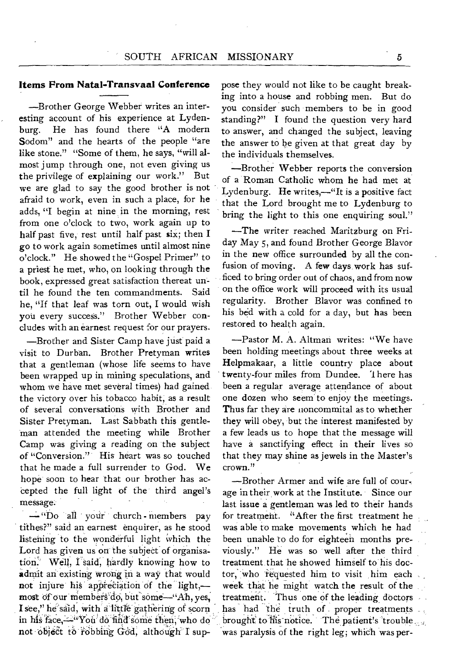#### **Items From Natal-Transvaal Conference**

—Brother George Webbef writes an interesting account of his experience at Lydenburg. He has found there "A modern Sodom" and the hearts of the people "are like stone." "Some of them, he says, "will almost jump through one, not even giving us the privilege of explaining our work." But we are glad to say the good brother is not afraid to work, even in such a place, for he adds, **"I** begin at nine in the morning, rest from one o'clock to two, work again up to half past five, rest until half past six; then **I**  go to work again sometimes until almost nine o'clock." He showed the "Gospel Primer" to a priest he met, who, on looking through the book, expressed great satisfaction thereat until he found the ten commandments. Said he, "If that leaf was torn out, I would wish you every success." Brother Webber concludes with an earnest request for our prayers.

—Brother and Sister Camp have just paid a visit to Durban. Brother Pretyman writes that a gentleman (whose life seems to have been wrapped up in mining speculations, and whom we have met several times) had gained the victory over his tobacco habit, as a result of several conversations with Brother and Sister Pretyman. Last Sabbath this gentleman attended the meeting while Brother Camp was giving a reading on the subject of "Conversion." His heart was so touched that he made a full surrender to God. We hope soon to hear that our brother has accepted the full light of the third angel's message.

—"bo all ' vont' church - members pay tithes?" said an earnest enquirer, as he stood listening to the wonderful light which the Lord has given us on the subject of organisation. Well, I said, hardly knowing how to admit an existing wrong in a way that would not injure his appreciation of the light,most of our members do, but some-"Ah, yes, **I** see," he'said, with a little gathering of scorn in his face, --<sup>"</sup>You'do find some then, who do not object to robbing God, although I suppose they would not like to be caught breaking into a house and robbing men. But do you consider such members to be in good standing?" **I** found the question very hard to answer, and changed the subject, leaving the answer to be given at that great day by the individuals themselves.

—Brother Webber reports the conversion of a Roman Catholic whom he had met at Lydenburg. He writes,—"It is *a* positive fact that the Lord brought me to Lydenburg to bring the light to this one enquiring soul."

—The writer reached Maritzburg on Friday May 5, and found Brother George Blavor in the *new* office surrounded by all the confusion of moving. A few days work has sufficed to bring order out of chaos, and from now on the office work will proceed with its usual regularity. Brother Blavor was confined to his bed with a cold for a day, but has been restored to health again.

—Pastor M. A. Altman writes: "We have been holding meetings about three weeks at Helpmakaar, a little country place about twenty-four miles from Dundee. There has been a regular average attendance of about one dozen who seem to enjoy the meetings. Thus far they are noncommital as to whether they will obey, but the interest manifested by a few leads us to hope that the message will have a sanctifying effect in their lives so that they may shine as jewels in the Master's crown."

—Brother Armer and wife are full of courage in their work at the Institute. Since our last issue a gentleman was led to their hands for treatment. "After the first treatment he was able to make movements which he had been unable to do for eighteen months previously." He was so well after the third treatment that he showed himself to his doctor,' who requested him to visit him each week that he might watch the result of the treatment. Thus one of the leading doctors has had the truth of proper treatments. brought to his notice. The patient's 'trouble 'was paralysis of the right leg; which was per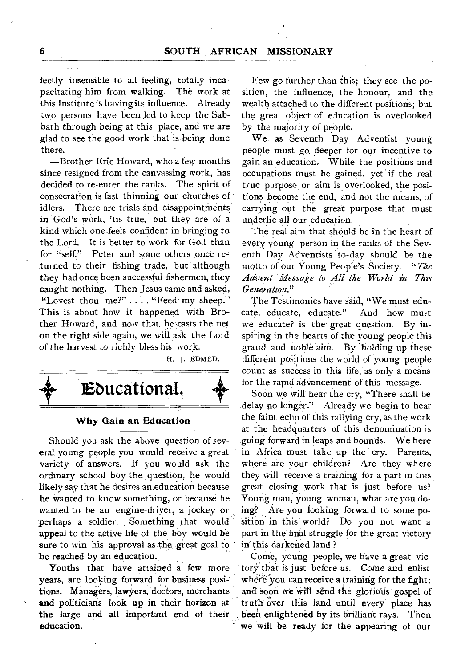fectly insensible to all feeling, totally incapacitating him from walking. The work at this Institute is having its influence. Already two persons have been led to keep the Sabbath through being at this place, and we are glad to see the good work that is.being done there.

—Brother Eric Howard, who a few months since resigned from the canvassing work, has decided to re-enter the ranks. The spirit of consecration is fast thinning our churches of idlers. There are trials and disappointments in God's work, 'tis true, but they are of a kind which one-feels confident in bringing to the Lord. It is better to work for God than for "self," Peter and some others once returned to their fishing trade, but although they had once been successful fishermen, they caught nothing. Then Jesus came and asked, "Lovest thou me?" .... "Feed my sheep." This is about how it happened with Brother Howard, and now that he casts the net on the right side again, we will ask the Lord of the harvest to richly bless his work.

H. J. EDMED.



#### **Why Gain an Education**

Should you ask the above question of several young people you would receive a great variety of answers. If you would ask the ordinary school boy the, question, he would likely say that he desires an education because he wanted to know something, or because he wanted to be an engine-driver, a jockey or perhaps a soldier. Something that would appeal to the active life of the boy would be sure to win his approval as the great goal to be reached by an education.

Youths that have attained a few more years, are looking forward for business positions. Managers, lawyers, doctors, merchants **and** politicians look **up** in their horizon at the large and all important end of their education.

Few go further than this; they see the position, the influence, the honour, and the wealth attached to the different position's; but the great object of education is overlooked by the majority of people.

We. as Seventh Day Adventist young people must go deeper for our incentive to gain an education. While the positions and. occupations must be gained, yet if the real true purpose, or aim is overlooked, the positions become the end, and not the means, of carrying out the great purpose that must underlie all our education.

The real aim that should be in the heart of every young person in the ranks of the Seventh Day Adventists to-day should be the motto of our Young People's Society. *"The Advent Message to All the World in This Generation."* 

The Testimonies have said, "We must educate, educate, educate:" And how must we educate? is the great question. By inspiring in the hearts of the young people this grand and noble aim. By holding up these different positions the world of young people count as success in this life, as only a means for the rapid advancement of this message.

Soon we will hear the cry, "There shall be delay no longer." Already we begin to hear the faint echo of this rallying cry, as the work at the headquarters of this denomination is going forward in leaps and bounds. We here in Africa must take up the cry. Parents, where are your children? Are they where they will receive a training for a part in this great closing work that is just before us? Young man, young woman, what are you doing? Are you looking forward to some position in this world? Do you not want a part in the final struggle for the great victory in' this darkened land ?

Come, young people, we have a great victory that is just before *us.* Come and enlist where you can receive a training for the fight: and soon we will send the glorious gospel of truth over this land until every' place has been enlightened by its brilliant rays. Then we will be ready for the appearing of our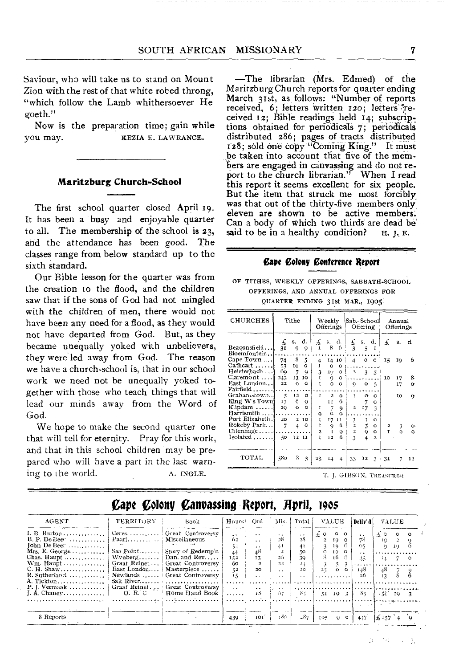Saviour, who will take us to stand on Mount Zion with the rest of that white robed throng, "which follow the Lamb whithersoever He goeth."

Now is the preparation time; gain while you may. KEZIA E. LAWRANCE.

#### **Maritzburg Church-School**

The first school quarter closed April 19. It has been a busy and enjoyable quarter to all. The membership of the school is 23, and the attendance has been good. The classes range from below standard up to the sixth standard.

Our Bible lesson for the quarter was from the creation to the flood, and the children saw that if the sons of God had not mingled with the children of men, there would not have been any need for a flood, as they would not have departed from God. But, as they became unequally yoked with unbelievers, they were led away from God. The reason we have a church-school is, that in our school work we need not be unequally yoked together with those who teach things that will lead our minds away from the Word of God.

We hope to make the second quarter one that will tell for eternity. Pray for this work, and that in this school children may be prepared who will have a part in the last warning to the world. A. INGLE.

—The librarian (Mrs. Edmed) of the Maritzburg Church reports for quarter ending March 31st, as follows: "Number of reports received, 6; letters written 120; letters ?received 12; Bible readings held 14; subscriptions obtained for periodicaIS 7; periodicals distributed 286; pages of tracts distributed 128; sold one copy "Coming King." It must be taken into account that five of the members are engaged in canvassing and do not report to the church librarian." When I read this report it seems excellent for six people. But the item that struck me most forcibly was that out of the thirty-five members only eleven are shown to be active members. Can a body of Which two thirds are dead be' said to be in a healthy condition?  $H, J, E$ .

#### **Cape Colony Conference Report**

OF TITHES, WEEKLY OFFERINGS, SABBATH-SCHOOL OFFERINGS, AND ANNUAL OFFERINGS FOR QUARTER ENDING 31St MAR., 1905,

| CHURCHES                                    | Tithe                   |                     | Weekly<br>Offerings |                           |                        | Sab.-School<br>Offering |                                          |              | Annual<br>Offerings |                              |              |               |
|---------------------------------------------|-------------------------|---------------------|---------------------|---------------------------|------------------------|-------------------------|------------------------------------------|--------------|---------------------|------------------------------|--------------|---------------|
| Beaconsfield<br>Bloemfontein                | £<br>31                 | s.<br>9             | d.<br>9             | £<br>n,                   | S.<br>8                | d.<br>6                 | £<br>3                                   | S.<br>5      | d.<br>1             | £                            | s.           | d.            |
| Cape Town<br>Cathcart                       | 74<br>13                | 8<br>10             | 5<br>۰              | 4<br>1                    | $^{14}$<br>$\circ$     | 10<br>$\circ$           | 4                                        | o            | $\Omega$            | 15                           | 19           | 6             |
| Heisterbach<br>Claremont<br>East London     | 69<br>243<br>22         | 7<br>13<br>$\circ$  | Q.<br>10<br>o       | 3<br>ť<br>Ĩ.              | 19.<br>9<br>o          | о<br>٥<br>٥             | $\overline{\mathbf{z}}$<br>Q             | 3<br>$\circ$ | 5<br>5              | 10                           | 17<br>17     | 8<br>$\sigma$ |
| Fairfield<br>Grahamstown<br>King W's Town   | 5<br>13                 | 12<br>6             | $\circ$<br>9        | $\mathbf{I}$              | $\boldsymbol{2}$<br>11 | ٥<br>6                  | $\mathbf{I}$                             | o            | o                   |                              | IO.          | o             |
| Klipdam<br>Harrismith                       | 20                      | $^{\circ}$          | Ó                   | 1<br>٥                    | 7<br>$\Omega$          | ġ<br>$\circ$            | $\overline{a}$                           | 7<br>17      | o<br>3              |                              |              |               |
| Port Elizabeth.<br>Rokeby Park<br>Uitenhage | 20<br>7                 | $\overline{2}$<br>4 | 10<br>۰             | 1<br>'n<br>$\overline{a}$ | 17<br>9<br>1           | 11<br>6.                | $\frac{3}{2}$<br>$\overline{\mathbf{z}}$ | I<br>5<br>9  | o<br>o<br>o         | $\overline{\mathbf{c}}$<br>T | 3<br>$\circ$ | o٠<br>٥       |
| $Isolated$                                  | 50                      |                     | I2 11               | 1                         | 12                     | 9<br>6                  | $\overline{\mathbf{3}}$                  | 4            | $\overline{a}$      |                              |              |               |
| TOTAL.                                      | 580                     | 8.                  | 3                   | 23                        | 14                     | 4                       | 33                                       | 12           | 3                   | 31                           | 7            | 11            |
|                                             | T. J. GIBSON, TREASURER |                     |                     |                           |                        |                         |                                          |              |                     |                              |              |               |

### **Cart Colony Canvassing Report, April, 1905**

| AGENT                                                                                                                                                                                                              | TERRITORY                                                                 | Book                                                                                                                                                                                                                           | Hours                                                                                          | Ord                                                                                                        | Mis.                                                                                                  | Total                                                            | <b>VALUE</b>                                                                                                                     | Deliv'd                                                      | VALUE                                                                   |            |
|--------------------------------------------------------------------------------------------------------------------------------------------------------------------------------------------------------------------|---------------------------------------------------------------------------|--------------------------------------------------------------------------------------------------------------------------------------------------------------------------------------------------------------------------------|------------------------------------------------------------------------------------------------|------------------------------------------------------------------------------------------------------------|-------------------------------------------------------------------------------------------------------|------------------------------------------------------------------|----------------------------------------------------------------------------------------------------------------------------------|--------------------------------------------------------------|-------------------------------------------------------------------------|------------|
| I. B. Burton<br>$B.$ P. De Beer $\ldots$<br>Iohn De Beer $\dots \dots \dots$<br>Mrs. E. George<br>Chas. Haupt<br>Wm. Haupt<br>C. H. Shaw<br>$R.$ Sutherland<br>$A.$ Tickton<br>$P. I. Vernaak$<br>$I. A. Change y$ | Ceres<br>$\text{Paar}$<br>$\cdots$<br>Sea Point<br>East London<br>O, R, C | Great Controversy<br>: Miscellaneous<br>Story of Redemp'n<br>Wynberg $\Box$ Dan. and Rev<br>Graat Reinet  Great Controversy<br>Masterpiece<br>Newlands  Great Controversy<br>Graaf Reinet. Great Controversy<br>Home Hand Book | $\ddot{\phantom{1}}$<br>62<br>$5+$<br>44<br>152<br>60<br>52<br>15<br>$\ddot{\phantom{0}}$<br>. | $\ddot{\phantom{0}}$<br>$\cdot$ $\cdot$<br>$\cdot$ $\cdot$<br>48<br>13<br>20<br>$\cdot$ .<br>$\sim$<br>-18 | $\sim$<br>28<br>41<br>26<br>22<br>$\ddot{\phantom{0}}$<br>$\sim$ $\sim$<br>$\ddot{\phantom{1}}$<br>07 | $\cdot$ $\cdot$<br>28<br>41<br>50<br>39<br>21<br>20<br>. .<br>87 | $\circ$ $\circ$<br>£ο<br>10<br>$\overline{2}$<br>$\Omega$<br>10<br>ŦО<br>ι6.<br>25<br>$\Omega$<br>$\circ$<br>$51 \t 19 \t 3 \t $ | $\cdot$ .<br>78<br>のく<br>$\cdot$ .<br>15<br>148<br>20<br>85. | $\pm$ 0<br>$\Omega$<br>1G<br>1Q<br>$\mathbf{e}_1$<br>48<br>$-31$ $19$ 3 | $^{\circ}$ |
| 8 Reports                                                                                                                                                                                                          |                                                                           |                                                                                                                                                                                                                                | 439                                                                                            | 101                                                                                                        | 186.                                                                                                  | $-87$                                                            | 105.<br>$Q = Q$                                                                                                                  | 4!7                                                          | $1/6$ 157 $-4$ 0                                                        |            |